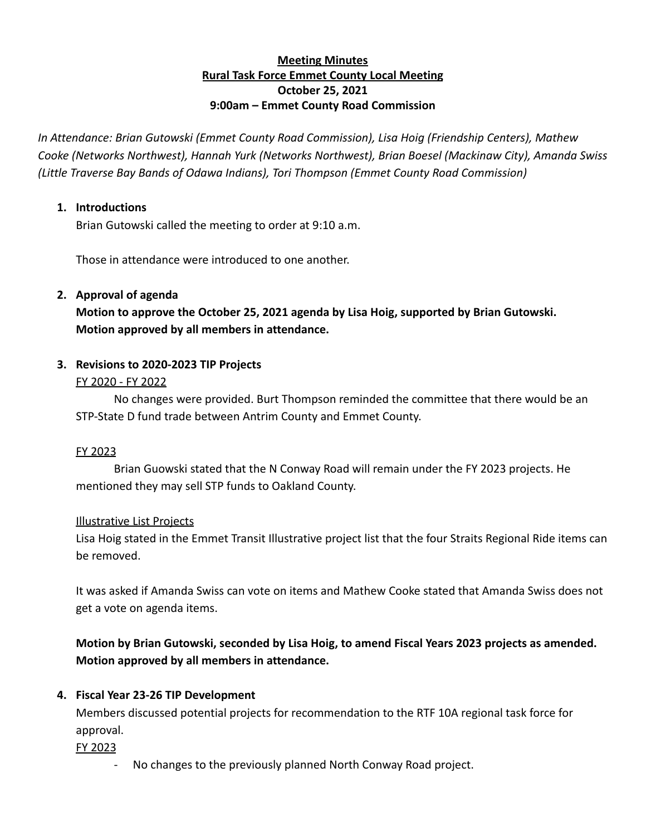# **Meeting Minutes Rural Task Force Emmet County Local Meeting October 25, 2021 9:00am – Emmet County Road Commission**

*In Attendance: Brian Gutowski (Emmet County Road Commission), Lisa Hoig (Friendship Centers), Mathew Cooke (Networks Northwest), Hannah Yurk (Networks Northwest), Brian Boesel (Mackinaw City), Amanda Swiss (Little Traverse Bay Bands of Odawa Indians), Tori Thompson (Emmet County Road Commission)*

# **1. Introductions**

Brian Gutowski called the meeting to order at 9:10 a.m.

Those in attendance were introduced to one another.

# **2. Approval of agenda**

**Motion to approve the October 25, 2021 agenda by Lisa Hoig, supported by Brian Gutowski. Motion approved by all members in attendance.**

# **3. Revisions to 2020-2023 TIP Projects**

## FY 2020 - FY 2022

No changes were provided. Burt Thompson reminded the committee that there would be an STP-State D fund trade between Antrim County and Emmet County.

## FY 2023

Brian Guowski stated that the N Conway Road will remain under the FY 2023 projects. He mentioned they may sell STP funds to Oakland County.

## Illustrative List Projects

Lisa Hoig stated in the Emmet Transit Illustrative project list that the four Straits Regional Ride items can be removed.

It was asked if Amanda Swiss can vote on items and Mathew Cooke stated that Amanda Swiss does not get a vote on agenda items.

# **Motion by Brian Gutowski, seconded by Lisa Hoig, to amend Fiscal Years 2023 projects as amended. Motion approved by all members in attendance.**

# **4. Fiscal Year 23-26 TIP Development**

Members discussed potential projects for recommendation to the RTF 10A regional task force for approval.

## FY 2023

- No changes to the previously planned North Conway Road project.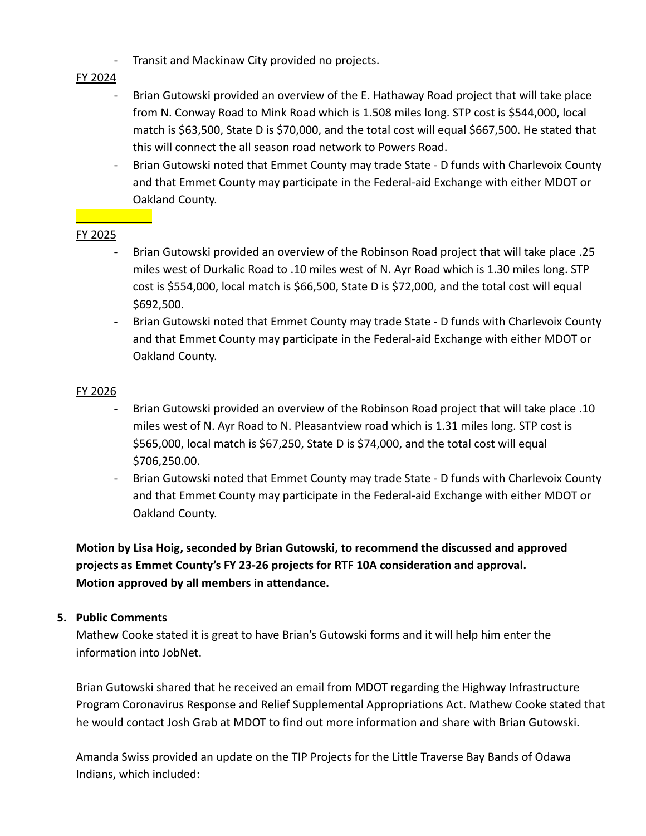- Transit and Mackinaw City provided no projects.

# FY 2024

- Brian Gutowski provided an overview of the E. Hathaway Road project that will take place from N. Conway Road to Mink Road which is 1.508 miles long. STP cost is \$544,000, local match is \$63,500, State D is \$70,000, and the total cost will equal \$667,500. He stated that this will connect the all season road network to Powers Road.
- Brian Gutowski noted that Emmet County may trade State D funds with Charlevoix County and that Emmet County may participate in the Federal-aid Exchange with either MDOT or Oakland County.

# FY 2025

- Brian Gutowski provided an overview of the Robinson Road project that will take place .25 miles west of Durkalic Road to .10 miles west of N. Ayr Road which is 1.30 miles long. STP cost is \$554,000, local match is \$66,500, State D is \$72,000, and the total cost will equal \$692,500.
- Brian Gutowski noted that Emmet County may trade State D funds with Charlevoix County and that Emmet County may participate in the Federal-aid Exchange with either MDOT or Oakland County.

# FY 2026

- Brian Gutowski provided an overview of the Robinson Road project that will take place .10 miles west of N. Ayr Road to N. Pleasantview road which is 1.31 miles long. STP cost is \$565,000, local match is \$67,250, State D is \$74,000, and the total cost will equal \$706,250.00.
- Brian Gutowski noted that Emmet County may trade State D funds with Charlevoix County and that Emmet County may participate in the Federal-aid Exchange with either MDOT or Oakland County.

**Motion by Lisa Hoig, seconded by Brian Gutowski, to recommend the discussed and approved projects as Emmet County's FY 23-26 projects for RTF 10A consideration and approval. Motion approved by all members in attendance.**

## **5. Public Comments**

Mathew Cooke stated it is great to have Brian's Gutowski forms and it will help him enter the information into JobNet.

Brian Gutowski shared that he received an email from MDOT regarding the Highway Infrastructure Program Coronavirus Response and Relief Supplemental Appropriations Act. Mathew Cooke stated that he would contact Josh Grab at MDOT to find out more information and share with Brian Gutowski.

Amanda Swiss provided an update on the TIP Projects for the Little Traverse Bay Bands of Odawa Indians, which included: